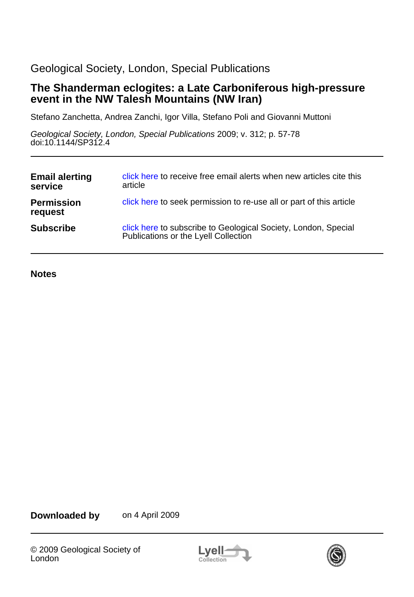# Geological Society, London, Special Publications

# **event in the NW Talesh Mountains (NW Iran) The Shanderman eclogites: a Late Carboniferous high-pressure**

Stefano Zanchetta, Andrea Zanchi, Igor Villa, Stefano Poli and Giovanni Muttoni

doi:10.1144/SP312.4 Geological Society, London, Special Publications 2009; v. 312; p. 57-78

| <b>Email alerting</b><br>service | click here to receive free email alerts when new articles cite this<br>article                         |
|----------------------------------|--------------------------------------------------------------------------------------------------------|
| <b>Permission</b><br>request     | click here to seek permission to re-use all or part of this article                                    |
| <b>Subscribe</b>                 | click here to subscribe to Geological Society, London, Special<br>Publications or the Lyell Collection |

**Notes**

**Downloaded by** on 4 April 2009



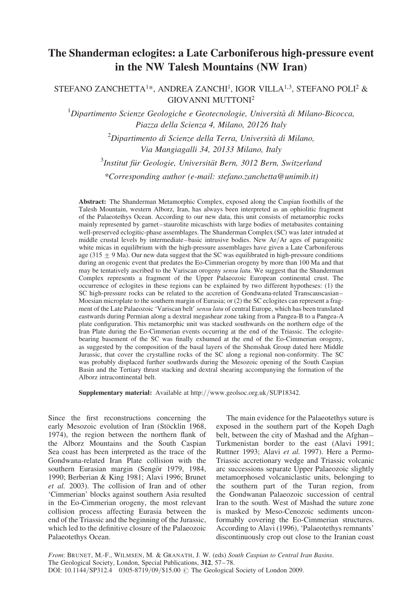# The Shanderman eclogites: a Late Carboniferous high-pressure event in the NW Talesh Mountains (NW Iran)

# STEFANO ZANCHETTA<sup>1\*</sup>, ANDREA ZANCHI<sup>1</sup>, IGOR VILLA<sup>1,3</sup>, STEFANO POLI<sup>2</sup> & GIOVANNI MUTTONI2

 ${}^{1}$ Dipartimento Scienze Geologiche e Geotecnologie, Università di Milano-Bicocca, Piazza della Scienza 4, Milano, 20126 Italy

> $^{2}$ Dipartimento di Scienze della Terra, Università di Milano, Via Mangiagalli 34, 20133 Milano, Italy

<sup>3</sup>Institut für Geologie, Universität Bern, 3012 Bern, Switzerland

\*Corresponding author (e-mail: stefano.zanchetta@unimib.it)

Abstract: The Shanderman Metamorphic Complex, exposed along the Caspian foothills of the Talesh Mountain, western Alborz, Iran, has always been interpreted as an ophiolitic fragment of the Palaeotethys Ocean. According to our new data, this unit consists of metamorphic rocks mainly represented by garnet–staurolite micaschists with large bodies of metabasites containing well-preserved eclogitic-phase assemblages. The Shanderman Complex (SC) was later intruded at middle crustal levels by intermediate–basic intrusive bodies. New Ar/Ar ages of paragonitic white micas in equilibrium with the high-pressure assemblages have given a Late Carboniferous age  $(315 + 9 \text{ Ma})$ . Our new data suggest that the SC was equilibrated in high-pressure conditions during an orogenic event that predates the Eo-Cimmerian orogeny by more than 100 Ma and that may be tentatively ascribed to the Variscan orogeny *sensu latu*. We suggest that the Shanderman Complex represents a fragment of the Upper Palaeozoic European continental crust. The occurrence of eclogites in these regions can be explained by two different hypotheses: (1) the SC high-pressure rocks can be related to the accretion of Gondwana-related Transcauscasian– Moesian microplate to the southern margin of Eurasia; or (2) the SC eclogites can represent a fragment of the Late Palaeozoic 'Variscan belt' *sensu latu* of central Europe, which has been translated eastwards during Permian along a dextral megashear zone taking from a Pangea-B to a Pangea-A plate configuration. This metamorphic unit was stacked southwards on the northern edge of the Iran Plate during the Eo-Cimmerian events occurring at the end of the Triassic. The eclogitebearing basement of the SC was finally exhumed at the end of the Eo-Cimmerian orogeny, as suggested by the composition of the basal layers of the Shemshak Group dated here Middle Jurassic, that cover the crystalline rocks of the SC along a regional non-conformity. The SC was probably displaced further southwards during the Mesozoic opening of the South Caspian Basin and the Tertiary thrust stacking and dextral shearing accompanying the formation of the Alborz intracontinental belt.

Supplementary material: Available at http://www.geolsoc.org.uk/SUP18342.

Since the first reconstructions concerning the early Mesozoic evolution of Iran (Stöcklin 1968, 1974), the region between the northern flank of the Alborz Mountains and the South Caspian Sea coast has been interpreted as the trace of the Gondwana-related Iran Plate collision with the southern Eurasian margin (Sengör 1979, 1984, 1990; Berberian & King 1981; Alavi 1996; Brunet et al. 2003). The collision of Iran and of other 'Cimmerian' blocks against southern Asia resulted in the Eo-Cimmerian orogeny, the most relevant collision process affecting Eurasia between the end of the Triassic and the beginning of the Jurassic, which led to the definitive closure of the Palaeozoic Palaeotethys Ocean.

The main evidence for the Palaeotethys suture is exposed in the southern part of the Kopeh Dagh belt, between the city of Mashad and the Afghan– Turkmenistan border to the east (Alavi 1991; Ruttner 1993; Alavi et al. 1997). Here a Permo-Triassic accretionary wedge and Triassic volcanic arc successions separate Upper Palaeozoic slightly metamorphosed volcaniclastic units, belonging to the southern part of the Turan region, from the Gondwanan Palaeozoic succession of central Iran to the south. West of Mashad the suture zone is masked by Meso-Cenozoic sediments unconformably covering the Eo-Cimmerian structures. According to Alavi (1996), 'Palaeotethys remnants' discontinuously crop out close to the Iranian coast

From: BRUNET, M.-F., WILMSEN, M. & GRANATH, J. W. (eds) South Caspian to Central Iran Basins. The Geological Society, London, Special Publications, 312, 57–78. DOI: 10.1144/SP312.4 0305-8719/09/\$15.00 © The Geological Society of London 2009.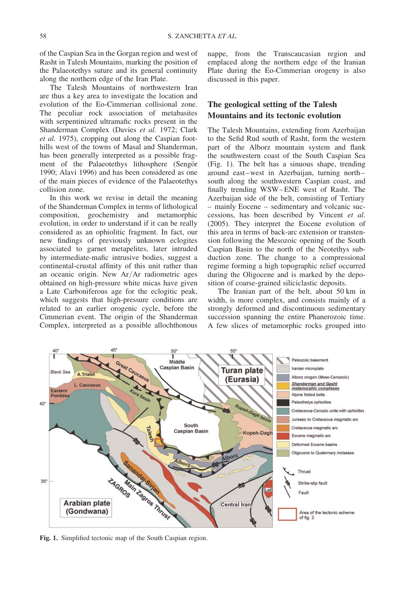of the Caspian Sea in the Gorgan region and west of Rasht in Talesh Mountains, marking the position of the Palaeotethys suture and its general continuity along the northern edge of the Iran Plate.

The Talesh Mountains of northwestern Iran are thus a key area to investigate the location and evolution of the Eo-Cimmerian collisional zone. The peculiar rock association of metabasites with serpentinized ultramafic rocks present in the Shanderman Complex (Davies et al. 1972; Clark et al. 1975), cropping out along the Caspian foothills west of the towns of Masal and Shanderman, has been generally interpreted as a possible fragment of the Palaeotethys lithosphere (Sengör 1990; Alavi 1996) and has been considered as one of the main pieces of evidence of the Palaeotethys collision zone.

In this work we revise in detail the meaning of the Shanderman Complex in terms of lithological composition, geochemistry and metamorphic evolution, in order to understand if it can be really considered as an ophiolitic fragment. In fact, our new findings of previously unknown eclogites associated to garnet metapelites, later intruded by intermediate-mafic intrusive bodies, suggest a continental-crustal affinity of this unit rather than an oceanic origin. New Ar/Ar radiometric ages obtained on high-pressure white micas have given a Late Carboniferous age for the eclogitic peak, which suggests that high-pressure conditions are related to an earlier orogenic cycle, before the Cimmerian event. The origin of the Shanderman Complex, interpreted as a possible allochthonous

nappe, from the Transcaucasian region and emplaced along the northern edge of the Iranian Plate during the Eo-Cimmerian orogeny is also discussed in this paper.

## The geological setting of the Talesh Mountains and its tectonic evolution

The Talesh Mountains, extending from Azerbaijan to the Sefid Rud south of Rasht, form the western part of the Alborz mountain system and flank the southwestern coast of the South Caspian Sea (Fig. 1). The belt has a sinuous shape, trending around east–west in Azerbaijan, turning north– south along the southwestern Caspian coast, and finally trending WSW–ENE west of Rasht. The Azerbaijan side of the belt, consisting of Tertiary – mainly Eocene – sedimentary and volcanic successions, has been described by Vincent et al. (2005). They interpret the Eocene evolution of this area in terms of back-arc extension or transtension following the Mesozoic opening of the South Caspian Basin to the north of the Neotethys subduction zone. The change to a compressional regime forming a high topographic relief occurred during the Oligocene and is marked by the deposition of coarse-grained siliciclastic deposits.

The Iranian part of the belt, about 50 km in width, is more complex, and consists mainly of a strongly deformed and discontinuous sedimentary succession spanning the entire Phanerozoic time. A few slices of metamorphic rocks grouped into



Fig. 1. Simplified tectonic map of the South Caspian region.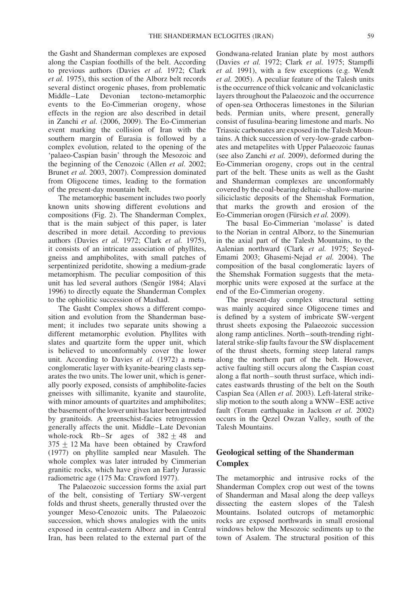the Gasht and Shanderman complexes are exposed along the Caspian foothills of the belt. According to previous authors (Davies et al. 1972; Clark et al. 1975), this section of the Alborz belt records several distinct orogenic phases, from problematic Middle–Late Devonian tectono-metamorphic events to the Eo-Cimmerian orogeny, whose effects in the region are also described in detail in Zanchi et al. (2006, 2009). The Eo-Cimmerian event marking the collision of Iran with the southern margin of Eurasia is followed by a complex evolution, related to the opening of the 'palaeo-Caspian basin' through the Mesozoic and the beginning of the Cenozoic (Allen et al. 2002; Brunet et al. 2003, 2007). Compression dominated from Oligocene times, leading to the formation of the present-day mountain belt.

The metamorphic basement includes two poorly known units showing different evolutions and compositions (Fig. 2). The Shanderman Complex, that is the main subject of this paper, is later described in more detail. According to previous authors (Davies et al. 1972; Clark et al. 1975), it consists of an intricate association of phyllites, gneiss and amphibolites, with small patches of serpentinized peridotite, showing a medium-grade metamorphism. The peculiar composition of this unit has led several authors (Sengör 1984; Alavi 1996) to directly equate the Shanderman Complex to the ophiolitic succession of Mashad.

The Gasht Complex shows a different composition and evolution from the Shanderman basement; it includes two separate units showing a different metamorphic evolution. Phyllites with slates and quartzite form the upper unit, which is believed to unconformably cover the lower unit. According to Davies et al. (1972) a metaconglomeratic layer with kyanite-bearing clasts separates the two units. The lower unit, which is generally poorly exposed, consists of amphibolite-facies gneisses with sillimanite, kyanite and staurolite, with minor amounts of quartzites and amphibolites; the basement of the lower unit has later been intruded by granitoids. A greenschist-facies retrogression generally affects the unit. Middle–Late Devonian whole-rock Rb–Sr ages of  $382 \pm 48$  and  $375 \pm 12$  Ma have been obtained by Crawford (1977) on phyllite sampled near Masuleh. The whole complex was later intruded by Cimmerian granitic rocks, which have given an Early Jurassic radiometric age (175 Ma: Crawford 1977).

The Palaeozoic succession forms the axial part of the belt, consisting of Tertiary SW-vergent folds and thrust sheets, generally thrusted over the younger Meso-Cenozoic units. The Palaeozoic succession, which shows analogies with the units exposed in central-eastern Alborz and in Central Iran, has been related to the external part of the

Gondwana-related Iranian plate by most authors (Davies et al. 1972; Clark et al. 1975; Stampfli et al. 1991), with a few exceptions (e.g. Wendt et al. 2005). A peculiar feature of the Talesh units is the occurrence of thick volcanic and volcaniclastic layers throughout the Palaeozoic and the occurrence of open-sea Orthoceras limestones in the Silurian beds. Permian units, where present, generally consist of fusulina-bearing limestone and marls. No Triassic carbonates are exposed in the Talesh Mountains. A thick succession of very-low-grade carbonates and metapelites with Upper Palaeozoic faunas (see also Zanchi et al. 2009), deformed during the Eo-Cimmerian orogeny, crops out in the central part of the belt. These units as well as the Gasht and Shanderman complexes are unconformably covered by the coal-bearing deltaic–shallow-marine siliciclastic deposits of the Shemshak Formation, that marks the growth and erosion of the Eo-Cimmerian orogen (Fürsich et al. 2009).

The basal Eo-Cimmerian 'molasse' is dated to the Norian in central Alborz, to the Sinemurian in the axial part of the Talesh Mountains, to the Aalenian northward (Clark et al. 1975; Seyed-Emami 2003; Ghasemi-Nejad et al. 2004). The composition of the basal conglomeratic layers of the Shemshak Formation suggests that the metamorphic units were exposed at the surface at the end of the Eo-Cimmerian orogeny.

The present-day complex structural setting was mainly acquired since Oligocene times and is defined by a system of imbricate SW-vergent thrust sheets exposing the Palaeozoic succession along ramp anticlines. North–south-trending rightlateral strike-slip faults favour the SW displacement of the thrust sheets, forming steep lateral ramps along the northern part of the belt. However, active faulting still occurs along the Caspian coast along a flat north–south thrust surface, which indicates eastwards thrusting of the belt on the South Caspian Sea (Allen et al. 2003). Left-lateral strikeslip motion to the south along a WNW–ESE active fault (Toram earthquake in Jackson et al. 2002) occurs in the Qezel Owzan Valley, south of the Talesh Mountains.

# Geological setting of the Shanderman **Complex**

The metamorphic and intrusive rocks of the Shanderman Complex crop out west of the towns of Shanderman and Masal along the deep valleys dissecting the eastern slopes of the Talesh Mountains. Isolated outcrops of metamorphic rocks are exposed northwards in small erosional windows below the Mesozoic sediments up to the town of Asalem. The structural position of this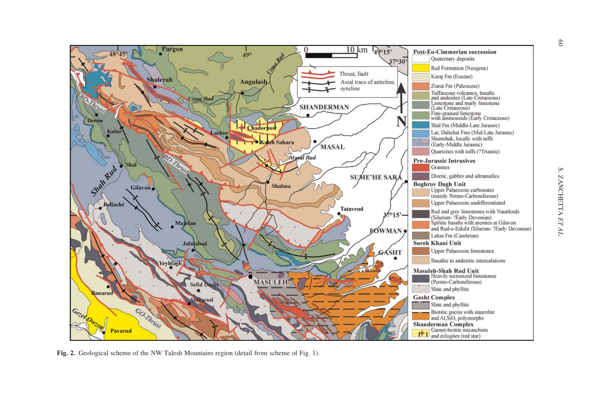

Fig. 2. Geological scheme of the NW Talesh Mountains region (detail from scheme of Fig. 1).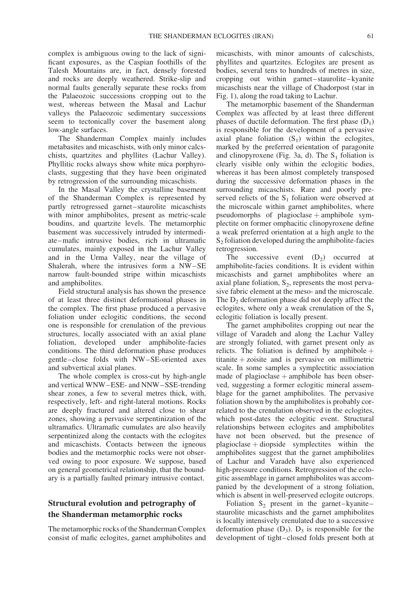complex is ambiguous owing to the lack of significant exposures, as the Caspian foothills of the Talesh Mountains are, in fact, densely forested and rocks are deeply weathered. Strike-slip and normal faults generally separate these rocks from the Palaeozoic successions cropping out to the west, whereas between the Masal and Lachur valleys the Palaeozoic sedimentary successions seem to tectonically cover the basement along low-angle surfaces.

The Shanderman Complex mainly includes metabasites and micaschists, with only minor calcschists, quartzites and phyllites (Lachur Valley). Phyllitic rocks always show white mica porphyroclasts, suggesting that they have been originated by retrogression of the surrounding micaschists.

In the Masal Valley the crystalline basement of the Shanderman Complex is represented by partly retrogressed garnet–staurolite micaschists with minor amphibolites, present as metric-scale boudins, and quartzite levels. The metamorphic basement was successively intruded by intermediate–mafic intrusive bodies, rich in ultramafic cumulates, mainly exposed in the Lachur Valley and in the Urma Valley, near the village of Shalerah, where the intrusives form a NW–SE narrow fault-bounded stripe within micaschists and amphibolites.

Field structural analysis has shown the presence of at least three distinct deformational phases in the complex. The first phase produced a pervasive foliation under eclogitic conditions, the second one is responsible for crenulation of the previous structures, locally associated with an axial plane foliation, developed under amphibolite-facies conditions. The third deformation phase produces gentle–close folds with NW–SE-oriented axes and subvertical axial planes.

The whole complex is cross-cut by high-angle and vertical WNW–ESE- and NNW–SSE-trending shear zones, a few to several metres thick, with, respectively, left- and right-lateral motions. Rocks are deeply fractured and altered close to shear zones, showing a pervasive serpentinization of the ultramafics. Ultramafic cumulates are also heavily serpentinized along the contacts with the eclogites and micaschists. Contacts between the igneous bodies and the metamorphic rocks were not observed owing to poor exposure. We suppose, based on general geometrical relationship, that the boundary is a partially faulted primary intrusive contact.

## Structural evolution and petrography of the Shanderman metamorphic rocks

The metamorphic rocks of the Shanderman Complex consist of mafic eclogites, garnet amphibolites and micaschists, with minor amounts of calcschists, phyllites and quartzites. Eclogites are present as bodies, several tens to hundreds of metres in size, cropping out within garnet–staurolite–kyanite micaschists near the village of Chadorpost (star in Fig. 1), along the road taking to Lachur.

The metamorphic basement of the Shanderman Complex was affected by at least three different phases of ductile deformation. The first phase  $(D_1)$ is responsible for the development of a pervasive axial plane foliation  $(S_1)$  within the eclogites, marked by the preferred orientation of paragonite and clinopyroxene (Fig. 3a, d). The  $S_1$  foliation is clearly visible only within the eclogitic bodies, whereas it has been almost completely transposed during the successive deformation phases in the surrounding micaschists. Rare and poorly preserved relicts of the  $S_1$  foliation were observed at the microscale within garnet amphibolites, where pseudomorphs of plagioclase  $+$  amphibole symplectite on former omphacitic clinopyroxene define a weak preferred orientation at a high angle to the  $S<sub>2</sub>$  foliation developed during the amphibolite-facies retrogression.

The successive event  $(D_2)$  occurred at amphibolite-facies conditions. It is evident within micaschists and garnet amphibolites where an axial plane foliation,  $S_2$ , represents the most pervasive fabric element at the meso- and the microscale. The  $D<sub>2</sub>$  deformation phase did not deeply affect the eclogites, where only a weak crenulation of the  $S_1$ eclogitic foliation is locally present.

The garnet amphibolites cropping out near the village of Varadeh and along the Lachur Valley are strongly foliated, with garnet present only as relicts. The foliation is defined by amphibole  $+$ titanite  $+$  zoisite and is pervasive on millimetric scale. In some samples a symplectitic association made of plagioclase  $+$  amphibole has been observed, suggesting a former eclogitic mineral assemblage for the garnet amphibolites. The pervasive foliation shown by the amphibolites is probably correlated to the crenulation observed in the eclogites, which post-dates the eclogitic event. Structural relationships between eclogites and amphibolites have not been observed, but the presence of  $plagioclase + diopside$  symplectites within the amphibolites suggest that the garnet amphibolites of Lachur and Varadeh have also experienced high-pressure conditions. Retrogression of the eclogitic assemblage in garnet amphibolites was accompanied by the development of a strong foliation, which is absent in well-preserved eclogite outcrops.

Foliation  $S_2$  present in the garnet–kyanite– staurolite micaschists and the garnet amphibolites is locally intensively crenulated due to a successive deformation phase  $(D_3)$ .  $D_3$  is responsible for the development of tight–closed folds present both at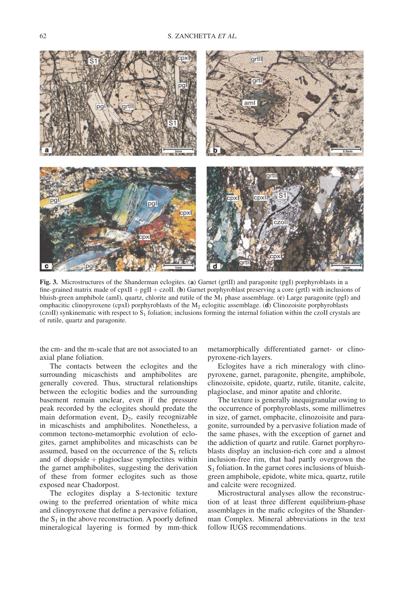

Fig. 3. Microstructures of the Shanderman eclogites. (a) Garnet (grtII) and paragonite (pgI) porphyroblasts in a fine-grained matrix made of cpxII + pgII + czoII. (b) Garnet porphyroblast preserving a core (grtI) with inclusions of bluish-green amphibole (amI), quartz, chlorite and rutile of the  $M_1$  phase assemblage. (c) Large paragonite (pgI) and omphacitic clinopyroxene (cpxI) porphyroblasts of the M2 eclogitic assemblage. (d) Clinozoisite porphyroblasts (czoII) synkinematic with respect to  $\bar{S}_1$  foliation; inclusions forming the internal foliation within the czoII crystals are of rutile, quartz and paragonite.

the cm- and the m-scale that are not associated to an axial plane foliation.

The contacts between the eclogites and the surrounding micaschists and amphibolites are generally covered. Thus, structural relationships between the eclogitic bodies and the surrounding basement remain unclear, even if the pressure peak recorded by the eclogites should predate the main deformation event,  $D_2$ , easily recognizable in micaschists and amphibolites. Nonetheless, a common tectono-metamorphic evolution of eclogites, garnet amphibolites and micaschists can be assumed, based on the occurrence of the  $S_1$  relicts and of diopside  $+$  plagioclase symplectites within the garnet amphibolites, suggesting the derivation of these from former eclogites such as those exposed near Chadorpost.

The eclogites display a S-tectonitic texture owing to the preferred orientation of white mica and clinopyroxene that define a pervasive foliation, the  $S_1$  in the above reconstruction. A poorly defined mineralogical layering is formed by mm-thick metamorphically differentiated garnet- or clinopyroxene-rich layers.

Eclogites have a rich mineralogy with clinopyroxene, garnet, paragonite, phengite, amphibole, clinozoisite, epidote, quartz, rutile, titanite, calcite, plagioclase, and minor apatite and chlorite.

The texture is generally inequigranular owing to the occurrence of porphyroblasts, some millimetres in size, of garnet, omphacite, clinozoisite and paragonite, surrounded by a pervasive foliation made of the same phases, with the exception of garnet and the addiction of quartz and rutile. Garnet porphyroblasts display an inclusion-rich core and a almost inclusion-free rim, that had partly overgrown the  $S<sub>1</sub>$  foliation. In the garnet cores inclusions of bluishgreen amphibole, epidote, white mica, quartz, rutile and calcite were recognized.

Microstructural analyses allow the reconstruction of at least three different equilibrium-phase assemblages in the mafic eclogites of the Shanderman Complex. Mineral abbreviations in the text follow IUGS recommendations.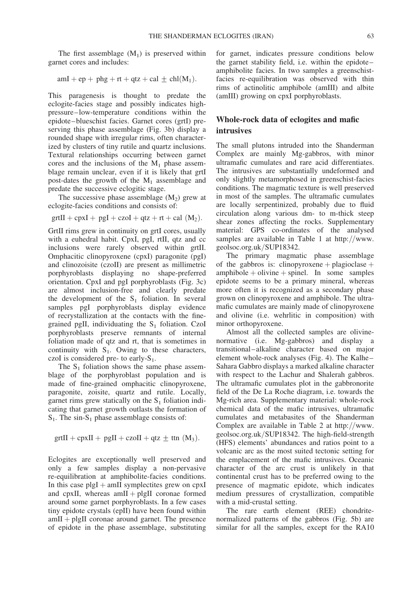The first assemblage  $(M_1)$  is preserved within garnet cores and includes:

$$
amI + ep + phg + rt + qtz + cal \pm chI(M_1).
$$

This paragenesis is thought to predate the eclogite-facies stage and possibly indicates highpressure–low-temperature conditions within the epidote–blueschist facies. Garnet cores (grtI) preserving this phase assemblage (Fig. 3b) display a rounded shape with irregular rims, often characterized by clusters of tiny rutile and quartz inclusions. Textural relationships occurring between garnet cores and the inclusions of the  $M_1$  phase assemblage remain unclear, even if it is likely that grtI post-dates the growth of the  $M_1$  assemblage and predate the successive eclogitic stage.

The successive phase assemblage  $(M_2)$  grew at eclogite-facies conditions and consists of:

$$
grtII + cpxI + pgI + czoI + qtz + rt + cal (M2).
$$

GrtII rims grew in continuity on grtI cores, usually with a euhedral habit. CpxI, pgI, rtII, qtz and cc inclusions were rarely observed within grtII. Omphacitic clinopyroxene (cpxI) paragonite (pgI) and clinozoisite (czoII) are present as millimetric porphyroblasts displaying no shape-preferred orientation. CpxI and pgI porphyroblasts (Fig. 3c) are almost inclusion-free and clearly predate the development of the  $S_1$  foliation. In several samples pgI porphyroblasts display evidence of recrystallization at the contacts with the finegrained pgII, individuating the  $S_1$  foliation. CzoI porphyroblasts preserve remnants of internal foliation made of qtz and rt, that is sometimes in continuity with  $S_1$ . Owing to these characters, czoI is considered pre- to early- $S_1$ .

The  $S_1$  foliation shows the same phase assemblage of the porphyroblast population and is made of fine-grained omphacitic clinopyroxene, paragonite, zoisite, quartz and rutile. Locally, garnet rims grew statically on the  $S_1$  foliation indicating that garnet growth outlasts the formation of  $S_1$ . The sin- $S_1$  phase assemblage consists of:

$$
grtII + cpxII + pgII + czoII + qtz \pm ttn (M3).
$$

Eclogites are exceptionally well preserved and only a few samples display a non-pervasive re-equilibration at amphibolite-facies conditions. In this case  $p\lg I + amII$  symplectites grew on cpxI and cpxII, whereas  $amII + pIgII$  coronae formed around some garnet porphyroblasts. In a few cases tiny epidote crystals (epII) have been found within  $amII + pIgII$  coronae around garnet. The presence of epidote in the phase assemblage, substituting

for garnet, indicates pressure conditions below the garnet stability field, i.e. within the epidote– amphibolite facies. In two samples a greenschistfacies re-equilibration was observed with thin rims of actinolitic amphibole (amIII) and albite (amIII) growing on cpxI porphyroblasts.

# Whole-rock data of eclogites and mafic intrusives

The small plutons intruded into the Shanderman Complex are mainly Mg-gabbros, with minor ultramafic cumulates and rare acid differentiates. The intrusives are substantially undeformed and only slightly metamorphosed in greenschist-facies conditions. The magmatic texture is well preserved in most of the samples. The ultramafic cumulates are locally serpentinized, probably due to fluid circulation along various dm- to m-thick steep shear zones affecting the rocks. Supplementary material: GPS co-ordinates of the analysed samples are available in Table 1 at http://www. geolsoc.org.uk/SUP18342.

The primary magmatic phase assemblage of the gabbros is: clinopyroxene + plagioclase  $+$  $amphibole + olivine + spinel.$  In some samples epidote seems to be a primary mineral, whereas more often it is recognized as a secondary phase grown on clinopyroxene and amphibole. The ultramafic cumulates are mainly made of clinopyroxene and olivine (i.e. wehrlitic in composition) with minor orthopyroxene.

Almost all the collected samples are olivinenormative (i.e. Mg-gabbros) and display a transitional–alkaline character based on major element whole-rock analyses (Fig. 4). The Kalhe– Sahara Gabbro displays a marked alkaline character with respect to the Lachur and Shalerah gabbros. The ultramafic cumulates plot in the gabbronorite field of the De La Roche diagram, i.e. towards the Mg-rich area. Supplementary material: whole-rock chemical data of the mafic intrusives, ultramafic cumulates and metabasites of the Shanderman Complex are available in Table 2 at http://www. geolsoc.org.uk/SUP18342. The high-field-strength (HFS) elements' abundances and ratios point to a volcanic arc as the most suited tectonic setting for the emplacement of the mafic intrusives. Oceanic character of the arc crust is unlikely in that continental crust has to be preferred owing to the presence of magmatic epidote, which indicates medium pressures of crystallization, compatible with a mid-crustal setting.

The rare earth element (REE) chondritenormalized patterns of the gabbros (Fig. 5b) are similar for all the samples, except for the RA10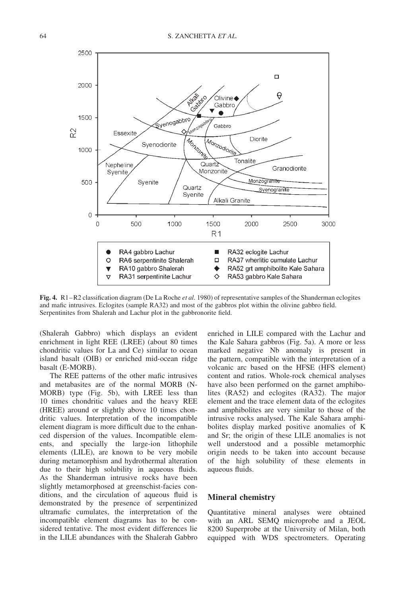

Fig. 4. R1–R2 classification diagram (De La Roche *et al.* 1980) of representative samples of the Shanderman eclogites and mafic intrusives. Eclogites (sample RA32) and most of the gabbros plot within the olivine gabbro field. Serpentinites from Shalerah and Lachur plot in the gabbronorite field.

(Shalerah Gabbro) which displays an evident enrichment in light REE (LREE) (about 80 times chondritic values for La and Ce) similar to ocean island basalt (OIB) or enriched mid-ocean ridge basalt (E-MORB).

The REE patterns of the other mafic intrusives and metabasites are of the normal MORB (N-MORB) type (Fig. 5b), with LREE less than 10 times chondritic values and the heavy REE (HREE) around or slightly above 10 times chondritic values. Interpretation of the incompatible element diagram is more difficult due to the enhanced dispersion of the values. Incompatible elements, and specially the large-ion lithophile elements (LILE), are known to be very mobile during metamorphism and hydrothermal alteration due to their high solubility in aqueous fluids. As the Shanderman intrusive rocks have been slightly metamorphosed at greenschist-facies conditions, and the circulation of aqueous fluid is demonstrated by the presence of serpentinized ultramafic cumulates, the interpretation of the incompatible element diagrams has to be considered tentative. The most evident differences lie in the LILE abundances with the Shalerah Gabbro

enriched in LILE compared with the Lachur and the Kale Sahara gabbros (Fig. 5a). A more or less marked negative Nb anomaly is present in the pattern, compatible with the interpretation of a volcanic arc based on the HFSE (HFS element) content and ratios. Whole-rock chemical analyses have also been performed on the garnet amphibolites (RA52) and eclogites (RA32). The major element and the trace element data of the eclogites and amphibolites are very similar to those of the intrusive rocks analysed. The Kale Sahara amphibolites display marked positive anomalies of K and Sr; the origin of these LILE anomalies is not well understood and a possible metamorphic origin needs to be taken into account because of the high solubility of these elements in aqueous fluids.

## Mineral chemistry

Quantitative mineral analyses were obtained with an ARL SEMQ microprobe and a JEOL 8200 Superprobe at the University of Milan, both equipped with WDS spectrometers. Operating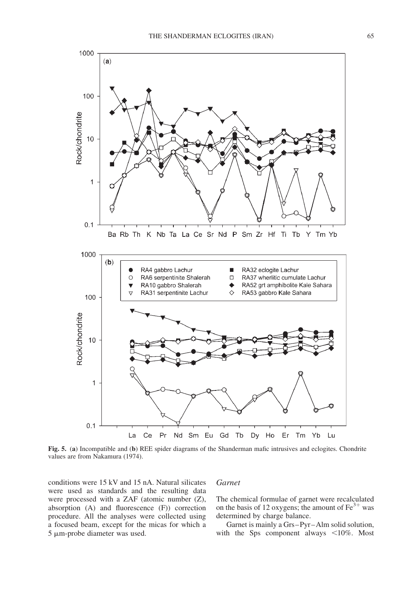

Fig. 5. (a) Incompatible and (b) REE spider diagrams of the Shanderman mafic intrusives and eclogites. Chondrite values are from Nakamura (1974).

conditions were 15 kV and 15 nA. Natural silicates were used as standards and the resulting data were processed with a ZAF (atomic number (Z), absorption (A) and fluorescence (F)) correction procedure. All the analyses were collected using a focused beam, except for the micas for which a  $5 \mu m$ -probe diameter was used.

### Garnet

The chemical formulae of garnet were recalculated on the basis of 12 oxygens; the amount of  $Fe<sup>3+</sup>$  was determined by charge balance.

Garnet is mainly a Grs–Pyr–Alm solid solution, with the Sps component always  $\leq 10\%$ . Most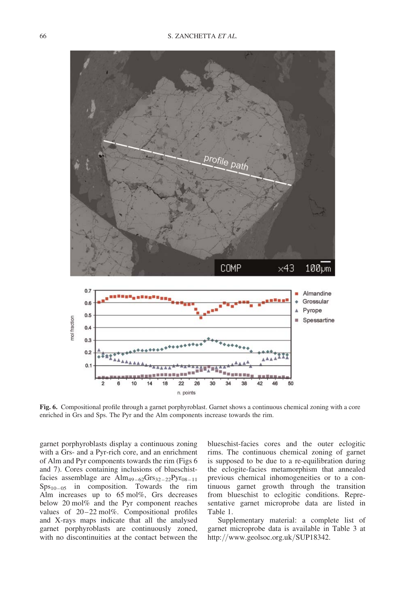

Fig. 6. Compositional profile through a garnet porphyroblast. Garnet shows a continuous chemical zoning with a core enriched in Grs and Sps. The Pyr and the Alm components increase towards the rim.

garnet porphyroblasts display a continuous zoning with a Grs- and a Pyr-rich core, and an enrichment of Alm and Pyr components towards the rim (Figs 6 and 7). Cores containing inclusions of blueschistfacies assemblage are  $Alm_{49-62}Grs_{32-22}Pyr_{08-11}$  $Sps_{10-05}$  in composition. Towards the rim Alm increases up to 65 mol%, Grs decreases below 20 mol% and the Pyr component reaches values of 20–22 mol%. Compositional profiles and X-rays maps indicate that all the analysed garnet porphyroblasts are continuously zoned, with no discontinuities at the contact between the

blueschist-facies cores and the outer eclogitic rims. The continuous chemical zoning of garnet is supposed to be due to a re-equilibration during the eclogite-facies metamorphism that annealed previous chemical inhomogeneities or to a continuous garnet growth through the transition from blueschist to eclogitic conditions. Representative garnet microprobe data are listed in Table 1.

Supplementary material: a complete list of garnet microprobe data is available in Table 3 at http://www.geolsoc.org.uk/SUP18342.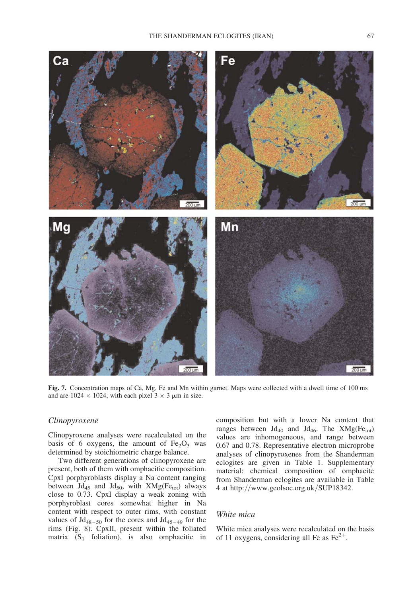

Fig. 7. Concentration maps of Ca, Mg, Fe and Mn within garnet. Maps were collected with a dwell time of 100 ms and are  $1024 \times 1024$ , with each pixel  $3 \times 3$  µm in size.

## Clinopyroxene

Clinopyroxene analyses were recalculated on the basis of 6 oxygens, the amount of  $Fe<sub>2</sub>O<sub>3</sub>$  was determined by stoichiometric charge balance.

Two different generations of clinopyroxene are present, both of them with omphacitic composition. CpxI porphyroblasts display a Na content ranging between  $Jd_{45}$  and  $Jd_{50}$ , with  $XMg(Fe_{tot})$  always close to 0.73. CpxI display a weak zoning with porphyroblast cores somewhat higher in Na content with respect to outer rims, with constant values of  $Jd_{48-50}$  for the cores and  $Jd_{45-49}$  for the rims (Fig. 8). CpxII, present within the foliated matrix  $(S_1 \text{ foliation})$ , is also omphacitic in

composition but with a lower Na content that ranges between  $Jd_{40}$  and  $Jd_{46}$ . The  $XMg(Fe_{tot})$ values are inhomogeneous, and range between 0.67 and 0.78. Representative electron microprobe analyses of clinopyroxenes from the Shanderman eclogites are given in Table 1. Supplementary material: chemical composition of omphacite from Shanderman eclogites are available in Table 4 at http://www.geolsoc.org.uk/SUP18342.

## White mica

White mica analyses were recalculated on the basis of 11 oxygens, considering all Fe as  $Fe<sup>2+</sup>$ .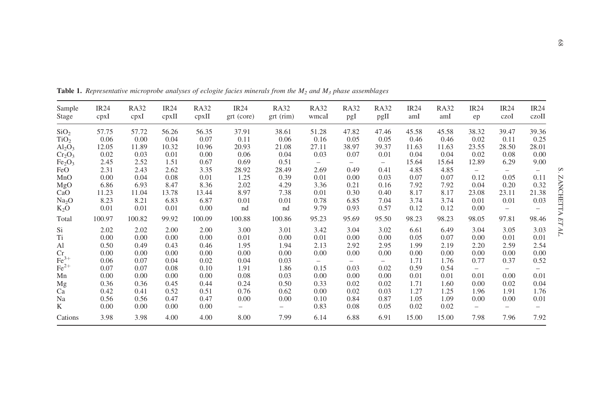| Sample<br>Stage                | <b>IR24</b><br>cpxI | <b>RA32</b><br>cpxI | <b>IR24</b><br>cpxII | <b>RA32</b><br>cpxII | <b>IR24</b><br>grt (core) | <b>RA32</b><br>$grt$ (rim) | <b>RA32</b><br>wmcaI | <b>RA32</b><br>pgI | <b>RA32</b><br>pgII | <b>IR24</b><br>amI | <b>RA32</b><br>amI | <b>IR24</b><br>ep        | <b>IR24</b><br>czoI      | <b>IR24</b><br>czoII     |
|--------------------------------|---------------------|---------------------|----------------------|----------------------|---------------------------|----------------------------|----------------------|--------------------|---------------------|--------------------|--------------------|--------------------------|--------------------------|--------------------------|
| SiO <sub>2</sub>               | 57.75               | 57.72               | 56.26                | 56.35                | 37.91                     | 38.61                      | 51.28                | 47.82              | 47.46               | 45.58              | 45.58              | 38.32                    | 39.47                    | 39.36                    |
| TiO <sub>2</sub>               | 0.06                | 0.00                | 0.04                 | 0.07                 | 0.11                      | 0.06                       | 0.16                 | 0.05               | 0.05                | 0.46               | 0.46               | 0.02                     | 0.11                     | 0.25                     |
| $Al_2O_3$                      | 12.05               | 11.89               | 10.32                | 10.96                | 20.93                     | 21.08                      | 27.11                | 38.97              | 39.37               | 11.63              | 11.63              | 23.55                    | 28.50                    | 28.01                    |
| $Cr_2O_3$                      | 0.02                | 0.03                | 0.01                 | 0.00                 | 0.06                      | 0.04                       | 0.03                 | 0.07               | 0.01                | 0.04               | 0.04               | 0.02                     | 0.08                     | 0.00                     |
| Fe <sub>2</sub> O <sub>3</sub> | 2.45                | 2.52                | 1.51                 | 0.67                 | 0.69                      | 0.51                       | $ \,$                | $-$                | $\qquad \qquad -$   | 15.64              | 15.64              | 12.89                    | 6.29                     | 9.00                     |
| FeO                            | 2.31                | 2.43                | 2.62                 | 3.35                 | 28.92                     | 28.49                      | 2.69                 | 0.49               | 0.41                | 4.85               | 4.85               | $-$                      | $-$                      | $\overline{\phantom{0}}$ |
| MnO                            | 0.00                | 0.04                | 0.08                 | 0.01                 | 1.25                      | 0.39                       | 0.01                 | 0.00               | 0.03                | 0.07               | 0.07               | 0.12                     | 0.05                     | 0.11                     |
| MgO                            | 6.86                | 6.93                | 8.47                 | 8.36                 | 2.02                      | 4.29                       | 3.36                 | 0.21               | 0.16                | 7.92               | 7.92               | 0.04                     | 0.20                     | 0.32                     |
| CaO                            | 11.23               | 11.04               | 13.78                | 13.44                | 8.97                      | 7.38                       | 0.01                 | 0.30               | 0.40                | 8.17               | 8.17               | 23.08                    | 23.11                    | 21.38                    |
| Na <sub>2</sub> O              | 8.23                | 8.21                | 6.83                 | 6.87                 | 0.01                      | 0.01                       | 0.78                 | 6.85               | 7.04                | 3.74               | 3.74               | 0.01                     | 0.01                     | 0.03                     |
| $K_2O$                         | 0.01                | 0.01                | 0.01                 | 0.00                 | nd                        | nd                         | 9.79                 | 0.93               | 0.57                | 0.12               | 0.12               | 0.00                     | $\overline{\phantom{0}}$ | $\overline{\phantom{0}}$ |
| Total                          | 100.97              | 100.82              | 99.92                | 100.09               | 100.88                    | 100.86                     | 95.23                | 95.69              | 95.50               | 98.23              | 98.23              | 98.05                    | 97.81                    | 98.46                    |
| Si                             | 2.02                | 2.02                | 2.00                 | 2.00                 | 3.00                      | 3.01                       | 3.42                 | 3.04               | 3.02                | 6.61               | 6.49               | 3.04                     | 3.05                     | 3.03                     |
| Ti                             | 0.00                | 0.00                | 0.00                 | 0.00                 | 0.01                      | 0.00                       | 0.01                 | 0.00               | 0.00                | 0.05               | 0.07               | 0.00                     | 0.01                     | 0.01                     |
| Al                             | 0.50                | 0.49                | 0.43                 | 0.46                 | 1.95                      | 1.94                       | 2.13                 | 2.92               | 2.95                | 1.99               | 2.19               | 2.20                     | 2.59                     | 2.54                     |
| Cr                             | 0.00                | 0.00                | 0.00                 | 0.00                 | 0.00                      | 0.00                       | 0.00                 | 0.00               | 0.00                | 0.00               | 0.00               | 0.00                     | 0.00                     | 0.00                     |
| $Fe3+$                         | 0.06                | 0.07                | 0.04                 | 0.02                 | 0.04                      | 0.03                       | $-$                  | $-$                | $-$                 | 1.71               | 1.76               | 0.77                     | 0.37                     | 0.52                     |
| $\text{Fe}^{2+}$               | 0.07                | 0.07                | 0.08                 | 0.10                 | 1.91                      | 1.86                       | 0.15                 | 0.03               | 0.02                | 0.59               | 0.54               | $-$                      | $-$                      |                          |
| Mn                             | 0.00                | 0.00                | 0.00                 | 0.00                 | 0.08                      | 0.03                       | 0.00                 | 0.00               | 0.00                | 0.01               | 0.01               | 0.01                     | 0.00                     | 0.01                     |
| Mg                             | 0.36                | 0.36                | 0.45                 | 0.44                 | 0.24                      | 0.50                       | 0.33                 | 0.02               | 0.02                | 1.71               | 1.60               | 0.00                     | 0.02                     | 0.04                     |
| Ca                             | 0.42                | 0.41                | 0.52                 | 0.51                 | 0.76                      | 0.62                       | 0.00                 | 0.02               | 0.03                | 1.27               | 1.25               | 1.96                     | 1.91                     | 1.76                     |
| Na                             | 0.56                | 0.56                | 0.47                 | 0.47                 | 0.00                      | 0.00                       | 0.10                 | 0.84               | 0.87                | 1.05               | 1.09               | 0.00                     | 0.00                     | 0.01                     |
| K                              | 0.00                | 0.00                | 0.00                 | 0.00                 | $\overline{\phantom{0}}$  | $\qquad \qquad -$          | 0.83                 | 0.08               | 0.05                | 0.02               | 0.02               | $\overline{\phantom{0}}$ | -                        |                          |
| Cations                        | 3.98                | 3.98                | 4.00                 | 4.00                 | 8.00                      | 7.99                       | 6.14                 | 6.88               | 6.91                | 15.00              | 15.00              | 7.98                     | 7.96                     | 7.92                     |

**Table 1.** Representative microprobe analyses of eclogite facies minerals from the  $M_2$  and  $M_3$  phase assemblages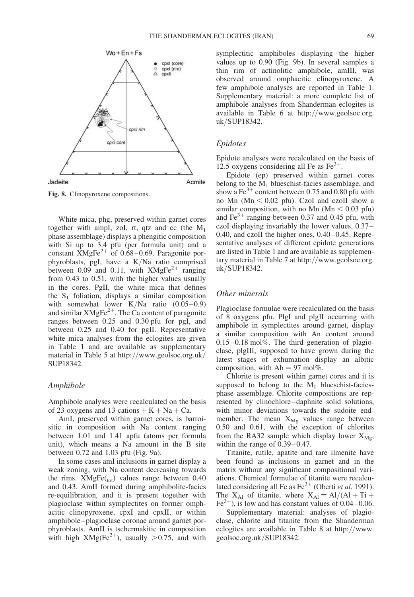

Fig. 8. Clinopyroxene compositions.

White mica, phg, preserved within garnet cores together with ampI, zoI, rt, qtz and cc (the  $M_1$ phase assemblage) displays a phengitic composition with Si up to 3.4 pfu (per formula unit) and a constant  $\text{XMgFe}^{2+}$  of 0.68–0.69. Paragonite porphyroblasts, pgI, have a K/Na ratio comprised between 0.09 and 0.11, with  $XMgFe<sup>2+</sup>$  ranging from 0.43 to 0.51, with the higher values usually in the cores. PgII, the white mica that defines the  $S_1$  foliation, displays a similar composition with somewhat lower  $K/Na$  ratio  $(0.05-0.9)$ and similar  $XMgFe<sup>2+</sup>$ . The Ca content of paragonite ranges between 0.25 and 0.30 pfu for pgI, and between 0.25 and 0.40 for pgII. Representative white mica analyses from the eclogites are given in Table 1 and are available as supplementary material in Table 5 at http://www.geolsoc.org.uk/ SUP18342.

## Amphibole

Amphibole analyses were recalculated on the basis of 23 oxygens and 13 cations  $+ K + Na + Ca$ .

AmI, preserved within garnet cores, is barroisitic in composition with Na content ranging between 1.01 and 1.41 apfu (atoms per formula unit), which means a Na amount in the B site between 0.72 and 1.03 pfu (Fig. 9a).

In some cases amI inclusions in garnet display a weak zoning, with Na content decreasing towards the rims.  $XMgFe(totot})$  values range between 0.40 and 0.43. AmII formed during amphibolite-facies re-equilibration, and it is present together with plagioclase within symplectites on former omphacitic clinopyroxene, cpxI and cpxII, or within amphibole–plagioclase coronae around garnet porphyroblasts. AmII is tschermakitic in composition with high  $XMg(Fe^{2+})$ , usually  $>0.75$ , and with

symplectitic amphiboles displaying the higher values up to 0.90 (Fig. 9b). In several samples a thin rim of actinolitic amphibole, amIII, was observed around omphacitic clinopyroxene. A few amphibole analyses are reported in Table 1. Supplementary material: a more complete list of amphibole analyses from Shanderman eclogites is available in Table 6 at http://www.geolsoc.org. uk/SUP18342.

#### Epidotes

Epidote analyses were recalculated on the basis of 12.5 oxygens considering all Fe as  $Fe<sup>3+</sup>$ .

Epidote (ep) preserved within garnet cores belong to the  $\widetilde{M}_1$  blueschist-facies assemblage, and show a Fe<sup>3+</sup> content between 0.75 and 0.80 pfu with no Mn ( $Mn < 0.02$  pfu). CzoI and czoII show a similar composition, with no Mn  $(Mn < 0.03$  pfu) and  $Fe<sup>3+</sup>$  ranging between 0.37 and 0.45 pfu, with czoI displaying invariably the lower values, 0.37– 0.40, and czoII the higher ones, 0.40–0.45. Representative analyses of different epidote generations are listed in Table 1 and are available as supplementary material in Table 7 at http://www.geolsoc.org. uk/SUP18342.

#### Other minerals

Plagioclase formulae were recalculated on the basis of 8 oxygens pfu. PlgI and plgII occurring with amphibole in symplectites around garnet, display a similar composition with An content around 0.15–0.18 mol%. The third generation of plagioclase, plgIII, supposed to have grown during the latest stages of exhumation display an albitic composition, with  $Ab = 97$  mol%.

Chlorite is present within garnet cores and it is supposed to belong to the  $M_1$  blueschist-faciesphase assemblage. Chlorite compositions are represented by clinochlore–daphnite solid solutions, with minor deviations towards the sudoite endmember. The mean  $X_{Mg}$  values range between 0.50 and 0.61, with the exception of chlorites from the RA32 sample which display lower  $X_{Mg}$ , within the range of 0.39–0.47.

Titanite, rutile, apatite and rare ilmenite have been found as inclusions in garnet and in the matrix without any significant compositional variations. Chemical formulae of titanite were recalculated considering all Fe as  $Fe^{3+}$  (Oberti *et al.* 1991). The  $X_{\text{Al}}$  of titanite, where  $X_{\text{Al}} = \text{Al}/(\text{Al} + \text{Ti} + \text{Al})$  $Fe<sup>3+</sup>$ ), is low and has constant values of 0.04–0.06.

Supplementary material: analyses of plagioclase, chlorite and titanite from the Shanderman eclogites are available in Table 8 at http://www. geolsoc.org.uk/SUP18342.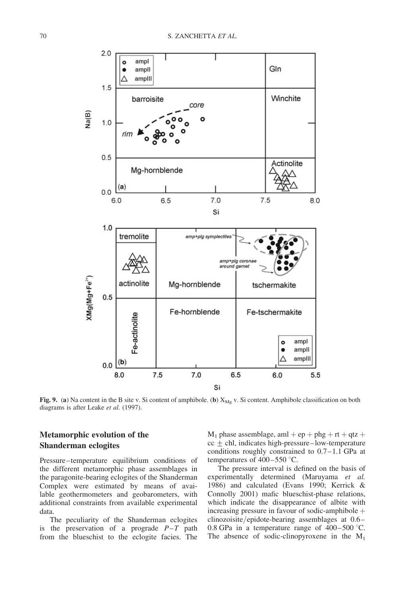

Fig. 9. (a) Na content in the B site v. Si content of amphibole. (b)  $X_{Mg}$  v. Si content. Amphibole classification on both diagrams is after Leake et al. (1997).

## Metamorphic evolution of the Shanderman eclogites

Pressure–temperature equilibrium conditions of the different metamorphic phase assemblages in the paragonite-bearing eclogites of the Shanderman Complex were estimated by means of available geothermometers and geobarometers, with additional constraints from available experimental data.

The peculiarity of the Shanderman eclogites is the preservation of a prograde  $P-T$  path from the blueschist to the eclogite facies. The  $M_1$  phase assemblage, aml + ep + phg + rt + qtz +  $cc + chl$ , indicates high-pressure–low-temperature conditions roughly constrained to 0.7–1.1 GPa at temperatures of  $400-550$  °C.

The pressure interval is defined on the basis of experimentally determined (Maruyama et al. 1986) and calculated (Evans 1990; Kerrick & Connolly 2001) mafic blueschist-phase relations, which indicate the disappearance of albite with increasing pressure in favour of sodic-amphibole  $+$ clinozoisite/epidote-bearing assemblages at 0.6– 0.8 GPa in a temperature range of  $400-500$  °C. The absence of sodic-clinopyroxene in the  $M_1$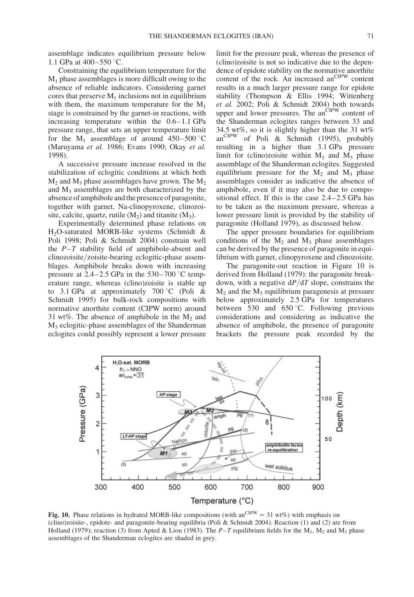assemblage indicates equilibrium pressure below 1.1 GPa at  $400-550$  °C.

Constraining the equilibrium temperature for the  $M_1$  phase assemblages is more difficult owing to the absence of reliable indicators. Considering garnet cores that preserve  $M_1$  inclusions not in equilibrium with them, the maximum temperature for the  $M_1$ stage is constrained by the garnet-in reactions, with increasing temperature within the 0.6–1.1 GPa pressure range, that sets an upper temperature limit for the  $M_1$  assemblage of around 450–500 °C (Maruyama et al. 1986; Evans 1990; Okay et al. 1998).

A successive pressure increase resolved in the stabilization of eclogitic conditions at which both  $M<sub>2</sub>$  and  $M<sub>3</sub>$  phase assemblages have grown. The  $M<sub>2</sub>$ and  $M_3$  assemblages are both characterized by the absence of amphibole and the presence of paragonite, together with garnet, Na-clinopyroxene, clinozoisite, calcite, quartz, rutile  $(M_2)$  and titanite  $(M_3)$ .

Experimentally determined phase relations on H2O-saturated MORB-like systems (Schmidt & Poli 1998; Poli & Schmidt 2004) constrain well the  $P-T$  stability field of amphibole-absent and clinozoisite/zoisite-bearing eclogitic-phase assemblages. Amphibole breaks down with increasing pressure at  $2.4-2.5$  GPa in the  $530-700$  °C temperature range, whereas (clino)zoisite is stable up to 3.1 GPa at approximately 700 °C (Poli & Schmidt 1995) for bulk-rock compositions with normative anorthite content (CIPW norm) around 31 wt%. The absence of amphibole in the  $M_2$  and M3 eclogitic-phase assemblages of the Shanderman eclogites could possibly represent a lower pressure

limit for the pressure peak, whereas the presence of (clino)zoisite is not so indicative due to the dependence of epidote stability on the normative anorthite content of the rock. An increased an<sup>CIPW</sup> content results in a much larger pressure range for epidote stability (Thompson & Ellis 1994; Wittenberg et al. 2002; Poli & Schmidt 2004) both towards upper and lower pressures. The an<sup> $CIPW$ </sup> content of the Shanderman eclogites ranges between 33 and 34.5 wt%, so it is slightly higher than the 31 wt% anCIPW of Poli & Schmidt (1995), probably resulting in a higher than 3.1 GPa pressure limit for (clino)zoisite within  $M_2$  and  $M_3$  phase assemblage of the Shanderman eclogites. Suggested equilibrium pressure for the  $M_2$  and  $M_3$  phase assemblages consider as indicative the absence of amphibole, even if it may also be due to compositional effect. If this is the case 2.4–2.5 GPa has to be taken as the maximum pressure, whereas a lower pressure limit is provided by the stability of paragonite (Holland 1979), as discussed below.

The upper pressure boundaries for equilibrium conditions of the  $M_2$  and  $M_3$  phase assemblages can be derived by the presence of paragonite in equilibrium with garnet, clinopyroxene and clinozoisite.

The paragonite-out reaction in Figure 10 is derived from Holland (1979): the paragonite breakdown, with a negative  $dP/dT$  slope, constrains the  $M<sub>2</sub>$  and the  $M<sub>3</sub>$  equilibrium paragenesis at pressure below approximately 2.5 GPa for temperatures between 530 and 650 $\degree$ C. Following previous considerations and considering as indicative the absence of amphibole, the presence of paragonite brackets the pressure peak recorded by the



Fig. 10. Phase relations in hydrated MORB-like compositions (with an<sup>CIPW</sup> = 31 wt%) with emphasis on (clino)zoisite-, epidote- and paragonite-bearing equilibria (Poli & Schmidt 2004). Reaction (1) and (2) are from Holland (1979); reaction (3) from Apted & Liou (1983). The  $P-T$  equilibrium fields for the M<sub>1</sub>, M<sub>2</sub> and M<sub>3</sub> phase assemblages of the Shanderman eclogites are shaded in grey.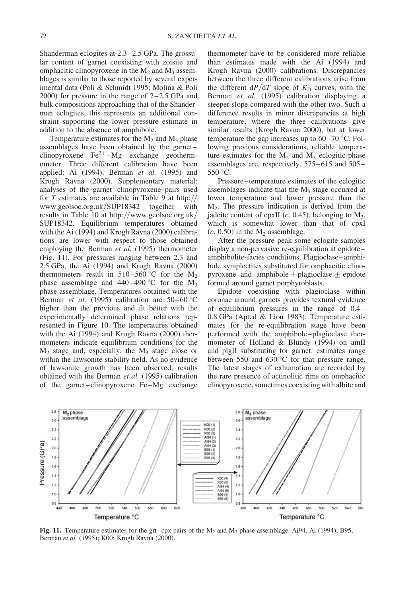Shanderman eclogites at 2.3–2.5 GPa. The grossular content of garnet coexisting with zoisite and omphacitic clinopyroxene in the  $M_2$  and  $M_3$  assemblages is similar to those reported by several experimental data (Poli & Schmidt 1995; Molina & Poli 2000) for pressure in the range of 2–2.5 GPa and bulk compositions approaching that of the Shanderman eclogites, this represents an additional constraint supporting the lower pressure estimate in addition to the absence of amphibole.

Temperature estimates for the  $M_2$  and  $M_3$  phase assemblages have been obtained by the garnet– clinopyroxene  $Fe^{2+}-Mg$  exchange geothermometer. Three different calibration have been applied: Ai (1994), Berman et al. (1995) and Krogh Ravna (2000). Supplementary material: analyses of the garnet–clinopyroxene pairs used for T estimates are available in Table 9 at http:// www.geolsoc.org.uk/SUP18342 together with results in Table 10 at http://www.geolsoc.org.uk/ SUP18342. Equilibrium temperatures obtained with the Ai (1994) and Krogh Ravna (2000) calibrations are lower with respect to those obtained employing the Berman *et al.* (1995) thermometer (Fig. 11). For pressures ranging between 2.3 and 2.5 GPa, the Ai (1994) and Krogh Ravna (2000) thermometers result in  $510-560$  °C for the M<sub>2</sub> phase assemblage and  $440-490$  °C for the M<sub>3</sub> phase assemblage. Temperatures obtained with the Berman *et al.* (1995) calibration are  $50-60$  °C higher than the previous and fit better with the experimentally determined phase relations represented in Figure 10. The temperatures obtained with the Ai (1994) and Krogh Ravna (2000) thermometers indicate equilibrium conditions for the  $M<sub>2</sub>$  stage and, especially, the  $M<sub>3</sub>$  stage close or within the lawsonite stability field. As no evidence of lawsonite growth has been observed, results obtained with the Berman et al. (1995) calibration of the garnet–clinopyroxene Fe–Mg exchange

thermometer have to be considered more reliable than estimates made with the Ai (1994) and Krogh Ravna (2000) calibrations. Discrepancies between the three different calibrations arise from the different  $dP/dT$  slope of  $K_D$  curves, with the Berman et al. (1995) calibration displaying a steeper slope compared with the other two. Such a difference results in minor discrepancies at high temperature, where the three calibrations give similar results (Krogh Ravna 2000), but at lower temperature the gap increases up to  $60-70$  °C. Following previous considerations, reliable temperature estimates for the  $M_2$  and  $M_3$  eclogitic-phase assemblages are, respectively, 575–615 and 505–  $550 \text{ °C}$ .

Pressure–temperature estimates of the eclogitic assemblages indicate that the  $M_3$  stage occurred at lower temperature and lower pressure than the  $M<sub>2</sub>$ . The pressure indication is derived from the iadeite content of cpxII ( $c$ . 0.45), belonging to  $M_3$ , which is somewhat lower than that of cpxI  $(c. 0.50)$  in the M<sub>2</sub> assemblage.

After the pressure peak some eclogite samples display a non-pervasive re-equilibration at epidote– amphibolite-facies conditions. Plagioclase–amphibole symplectites substituted for omphacitic clinopyroxene and amphibole  $+$  plagioclase  $+$  epidote formed around garnet porphyroblasts.

Epidote coexisting with plagioclase within coronae around garnets provides textural evidence of equilibrium pressures in the range of 0.4– 0.8 GPa (Apted & Liou 1983). Temperature estimates for the re-equilibration stage have been performed with the amphibole–plagioclase thermometer of Holland & Blundy (1994) on amII and plgII substituting for garnet: estimates range between 550 and 630  $\degree$ C for that pressure range. The latest stages of exhumation are recorded by the rare presence of actinolitic rims on omphacitic clinopyroxene, sometimes coexisting with albite and



Fig. 11. Temperature estimates for the grt–cpx pairs of the  $M_2$  and  $M_3$  phase assemblage. Ai94, Ai (1994); B95, Berman et al. (1995); K00: Krogh Ravna (2000).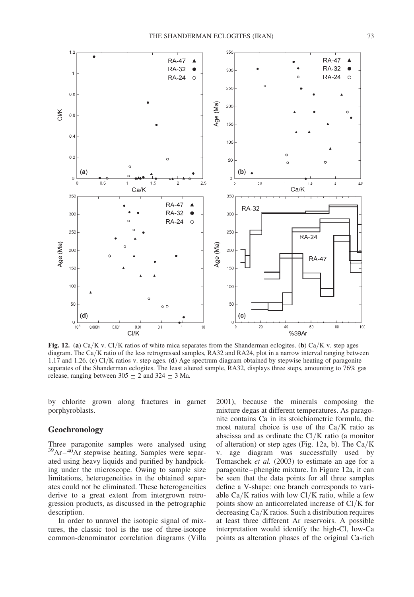

Fig. 12. (a)  $Ca/K$  v. Cl/K ratios of white mica separates from the Shanderman eclogites. (b)  $Ca/K$  v. step ages diagram. The Ca/K ratio of the less retrogressed samples, RA32 and RA24, plot in a narrow interval ranging between 1.17 and 1.26. (c) Cl/K ratios v. step ages. (d) Age spectrum diagram obtained by stepwise heating of paragonite separates of the Shanderman eclogites. The least altered sample, RA32, displays three steps, amounting to 76% gas release, ranging between  $305 \pm 2$  and  $324 \pm 3$  Ma.

by chlorite grown along fractures in garnet porphyroblasts.

### Geochronology

Three paragonite samples were analysed using  $39Ar-40Ar$  stepwise heating. Samples were separated using heavy liquids and purified by handpicking under the microscope. Owing to sample size limitations, heterogeneities in the obtained separates could not be eliminated. These heterogeneities derive to a great extent from intergrown retrogression products, as discussed in the petrographic description.

In order to unravel the isotopic signal of mixtures, the classic tool is the use of three-isotope common-denominator correlation diagrams (Villa

2001), because the minerals composing the mixture degas at different temperatures. As paragonite contains Ca in its stoichiometric formula, the most natural choice is use of the Ca/K ratio as abscissa and as ordinate the Cl/K ratio (a monitor of alteration) or step ages (Fig. 12a, b). The Ca/K v. age diagram was successfully used by Tomaschek et al. (2003) to estimate an age for a paragonite–phengite mixture. In Figure 12a, it can be seen that the data points for all three samples define a V-shape: one branch corresponds to variable Ca/K ratios with low Cl/K ratio, while a few points show an anticorrelated increase of Cl/K for decreasing Ca/K ratios. Such a distribution requires at least three different Ar reservoirs. A possible interpretation would identify the high-Cl, low-Ca points as alteration phases of the original Ca-rich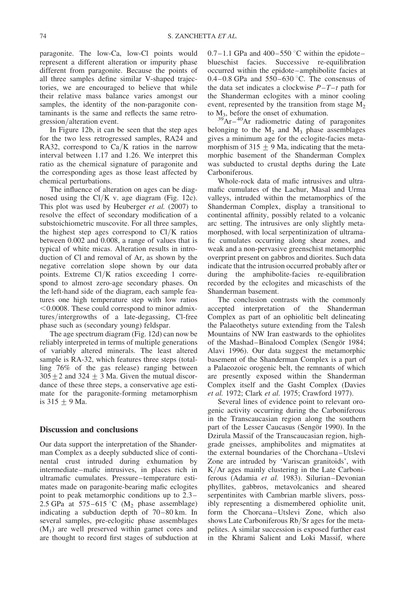paragonite. The low-Ca, low-Cl points would represent a different alteration or impurity phase different from paragonite. Because the points of all three samples define similar V-shaped trajectories, we are encouraged to believe that while their relative mass balance varies amongst our samples, the identity of the non-paragonite contaminants is the same and reflects the same retrogression/alteration event.

In Figure 12b, it can be seen that the step ages for the two less retrogressed samples, RA24 and RA32, correspond to  $Ca/K$  ratios in the narrow interval between 1.17 and 1.26. We interpret this ratio as the chemical signature of paragonite and the corresponding ages as those least affected by chemical perturbations.

The influence of alteration on ages can be diagnosed using the Cl/K v. age diagram (Fig. 12c). This plot was used by Heuberger et al. (2007) to resolve the effect of secondary modification of a substoichiometric muscovite. For all three samples, the highest step ages correspond to Cl/K ratios between 0.002 and 0.008, a range of values that is typical of white micas. Alteration results in introduction of Cl and removal of Ar, as shown by the negative correlation slope shown by our data points. Extreme Cl/K ratios exceeding 1 correspond to almost zero-age secondary phases. On the left-hand side of the diagram, each sample features one high temperature step with low ratios  $<$  0.0008. These could correspond to minor admixtures/intergrowths of a late-degassing, Cl-free phase such as (secondary young) feldspar.

The age spectrum diagram (Fig. 12d) can now be reliably interpreted in terms of multiple generations of variably altered minerals. The least altered sample is RA-32, which features three steps (totalling 76% of the gas release) ranging between  $305 \pm 2$  and  $324 \pm 3$  Ma. Given the mutual discordance of these three steps, a conservative age estimate for the paragonite-forming metamorphism is  $315 \pm 9$  Ma.

### Discussion and conclusions

Our data support the interpretation of the Shanderman Complex as a deeply subducted slice of continental crust intruded during exhumation by intermediate–mafic intrusives, in places rich in ultramafic cumulates. Pressure–temperature estimates made on paragonite-bearing mafic eclogites point to peak metamorphic conditions up to 2.3– 2.5 GPa at 575–615 °C ( $M_2$  phase assemblage) indicating a subduction depth of 70–80 km. In several samples, pre-eclogitic phase assemblages  $(M_1)$  are well preserved within garnet cores and are thought to record first stages of subduction at  $0.7-1.1$  GPa and  $400-550$  °C within the epidoteblueschist facies. Successive re-equilibration occurred within the epidote–amphibolite facies at  $0.4-0.8$  GPa and  $550-630$  °C. The consensus of the data set indicates a clockwise  $P-T-t$  path for the Shanderman eclogites with a minor cooling event, represented by the transition from stage  $M_2$  to  $M_3$ , before the onset of exhumation.

 $t^{39}$ Ar–<sup>40</sup>Ar radiometric dating of paragonites belonging to the  $M_2$  and  $M_3$  phase assemblages gives a minimum age for the eclogite-facies metamorphism of 315  $\pm$  9 Ma, indicating that the metamorphic basement of the Shanderman Complex was subducted to crustal depths during the Late Carboniferous.

Whole-rock data of mafic intrusives and ultramafic cumulates of the Lachur, Masal and Urma valleys, intruded within the metamorphics of the Shanderman Complex, display a transitional to continental affinity, possibly related to a volcanic arc setting. The intrusives are only slightly metamorphosed, with local serpentinization of ultramafic cumulates occurring along shear zones, and weak and a non-pervasive greenschist metamorphic overprint present on gabbros and diorites. Such data indicate that the intrusion occurred probably after or during the amphibolite-facies re-equilibration recorded by the eclogites and micaschists of the Shanderman basement.

The conclusion contrasts with the commonly accepted interpretation of the Shanderman Complex as part of an ophiolitic belt delineating the Palaeothetys suture extending from the Talesh Mountains of NW Iran eastwards to the ophiolites of the Mashad–Binalood Complex (Sengör 1984; Alavi 1996). Our data suggest the metamorphic basement of the Shanderman Complex is a part of a Palaeozoic orogenic belt, the remnants of which are presently exposed within the Shanderman Complex itself and the Gasht Complex (Davies et al. 1972; Clark et al. 1975; Crawford 1977).

Several lines of evidence point to relevant orogenic activity occurring during the Carboniferous in the Transcaucasian region along the southern part of the Lesser Caucasus (Sengör 1990). In the Dzirula Massif of the Transcaucasian region, highgrade gneisses, amphibolites and migmatites at the external boundaries of the Chorchana–Utslevi Zone are intruded by 'Variscan granitoids', with K/Ar ages mainly clustering in the Late Carboniferous (Adamia et al. 1983). Silurian–Devonian phyllites, gabbros, metavolcanics and sheared serpentinites with Cambrian marble slivers, possibly representing a dismembered ophiolite unit, form the Chorcana–Utslevi Zone, which also shows Late Carboniferous Rb/Sr ages for the metapelites. A similar succession is exposed further east in the Khrami Salient and Loki Massif, where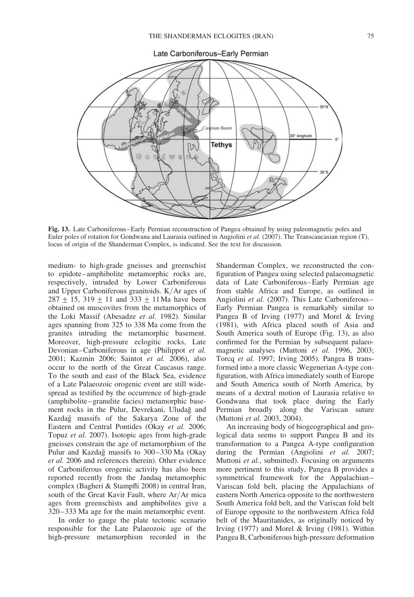

Fig. 13. Late Carboniferous–Early Permian reconstruction of Pangea obtained by using paleomagnetic poles and Euler poles of rotation for Gondwana and Laurasia outlined in Angiolini et al. (2007). The Transcaucasian region (T), locus of origin of the Shanderman Complex, is indicated. See the text for discussion.

medium- to high-grade gneisses and greenschist to epidote–amphibolite metamorphic rocks are, respectively, intruded by Lower Carboniferous and Upper Carboniferous granitoids. K/Ar ages of  $287 \pm 15$ ,  $319 \pm 11$  and  $333 \pm 11$  Ma have been obtained on muscovites from the metamorphics of the Loki Massif (Abesadze et al. 1982). Similar ages spanning from 325 to 338 Ma come from the granites intruding the metamorphic basement. Moreover, high-pressure eclogitic rocks, Late Devonian–Carboniferous in age (Philippot et al. 2001; Kazmin 2006; Saintot et al. 2006), also occur to the north of the Great Caucasus range. To the south and east of the Black Sea, evidence of a Late Palaeozoic orogenic event are still widespread as testified by the occurrence of high-grade (amphibolite–granulite facies) metamorphic basement rocks in the Pulur, Devrekani, Uludağ and Kazdağ massifs of the Sakarya Zone of the Eastern and Central Pontides (Okay et al. 2006; Topuz et al. 2007). Isotopic ages from high-grade gneisses constrain the age of metamorphism of the Pulur and Kazdağ massifs to 300-330 Ma (Okay et al. 2006 and references therein). Other evidence of Carboniferous orogenic activity has also been reported recently from the Jandaq metamorphic complex (Bagheri & Stampfli 2008) in central Iran, south of the Great Kavir Fault, where Ar/Ar mica ages from greenschists and amphibolites give a 320–333 Ma age for the main metamorphic event.

In order to gauge the plate tectonic scenario responsible for the Late Palaeozoic age of the high-pressure metamorphism recorded in the

Shanderman Complex, we reconstructed the configuration of Pangea using selected palaeomagnetic data of Late Carboniferous–Early Permian age from stable Africa and Europe, as outlined in Angiolini et al. (2007). This Late Carboniferous– Early Permian Pangea is remarkably similar to Pangea B of Irving (1977) and Morel & Irving (1981), with Africa placed south of Asia and South America south of Europe (Fig. 13), as also confirmed for the Permian by subsequent palaeomagnetic analyses (Muttoni et al. 1996, 2003; Torcq et al. 1997; Irving 2005). Pangea B transformed into a more classic Wegenerian A-type configuration, with Africa immediately south of Europe and South America south of North America, by means of a dextral motion of Laurasia relative to Gondwana that took place during the Early Permian broadly along the Variscan suture (Muttoni et al. 2003, 2004).

An increasing body of biogeographical and geological data seems to support Pangea B and its transformation to a Pangea A-type configuration during the Permian (Angiolini et al. 2007; Muttoni et al., submitted). Focusing on arguments more pertinent to this study, Pangea B provides a symmetrical framework for the Appalachian– Variscan fold belt, placing the Appalachians of eastern North America opposite to the northwestern South America fold belt, and the Variscan fold belt of Europe opposite to the northwestern Africa fold belt of the Mauritanides, as originally noticed by Irving (1977) and Morel & Irving (1981). Within Pangea B, Carboniferous high-pressure deformation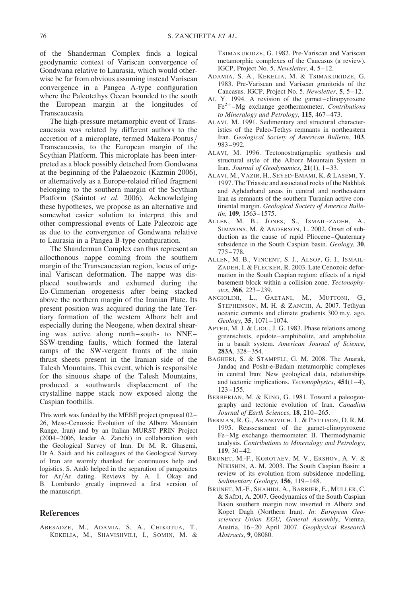of the Shanderman Complex finds a logical geodynamic context of Variscan convergence of Gondwana relative to Laurasia, which would otherwise be far from obvious assuming instead Variscan convergence in a Pangea A-type configuration where the Paleotethys Ocean bounded to the south the European margin at the longitudes of Transcaucasia.

The high-pressure metamorphic event of Transcaucasia was related by different authors to the accretion of a microplate, termed Makera-Pontus/ Transcaucasia, to the European margin of the Scythian Platform. This microplate has been interpreted as a block possibly detached from Gondwana at the beginning of the Palaeozoic (Kazmin 2006), or alternatively as a Europe-related rifted fragment belonging to the southern margin of the Scythian Platform (Saintot et al. 2006). Acknowledging these hypotheses, we propose as an alternative and somewhat easier solution to interpret this and other compressional events of Late Paleozoic age as due to the convergence of Gondwana relative to Laurasia in a Pangea B-type configuration.

The Shanderman Complex can thus represent an allocthonous nappe coming from the southern margin of the Transcaucasian region, locus of original Variscan deformation. The nappe was displaced southwards and exhumed during the Eo-Cimmerian orogenesis after being stacked above the northern margin of the Iranian Plate. Its present position was acquired during the late Tertiary formation of the western Alborz belt and especially during the Neogene, when dextral shearing was active along north–south- to NNE– SSW-trending faults, which formed the lateral ramps of the SW-vergent fronts of the main thrust sheets present in the Iranian side of the Talesh Mountains. This event, which is responsible for the sinuous shape of the Talesh Mountains, produced a southwards displacement of the crystalline nappe stack now exposed along the Caspian foothills.

This work was funded by the MEBE project (proposal 02– 26, Meso-Cenozoic Evolution of the Alborz Mountain Range, Iran) and by an Italian MURST PRIN Project (2004–2006, leader A. Zanchi) in collaboration with the Geological Survey of Iran. Dr M. R. Ghasemi, Dr A. Saidi and his colleagues of the Geological Survey of Iran are warmly thanked for continuous help and logistics. S. Ando` helped in the separation of paragonites for Ar/Ar dating. Reviews by A. I. Okay and B. Lombardo greatly improved a first version of the manuscript.

#### References

ABESADZE, M., ADAMIA, S. A., CHIKOTUA, T., KEKELIA, M., SHAVISHVILI, I., SOMIN, M. & TSIMAKURIDZE, G. 1982. Pre-Variscan and Variscan metamorphic complexes of the Caucasus (a review). IGCP, Project No. 5. Newsletter, 4, 5–12.

- ADAMIA, S. A., KEKELIA, M. & TSIMAKURIDZE, G. 1983. Pre-Variscan and Variscan granitoids of the Caucasus. IGCP, Project No. 5. Newsletter, 5, 5–12.
- AI, Y. 1994. A revision of the garnet–clinopyroxene  $Fe<sup>2+</sup>-Mg$  exchange geothermometer. Contributions to Mineralogy and Petrology, 115, 467-473.
- ALAVI, M. 1991. Sedimentary and structural characteristics of the Paleo-Tethys remnants in northeastern Iran. Geological Society of American Bulletin, 103, 983–992.
- ALAVI, M. 1996. Tectonostratigraphic synthesis and structural style of the Alborz Mountain System in Iran. Journal of Geodynamics,  $21(1)$ ,  $1-33$ .
- ALAVI, M., VAZIR, H., SEYED-EMAMI, K. & LASEMI, Y. 1997. The Triassic and associated rocks of the Nakhlak and Aghdarband areas in central and northeastern Iran as remnants of the southern Turanian active continental margin. Geological Society of America Bulletin, 109, 1563–1575.
- ALLEN, M. B., JONES, S., ISMAIL-ZADEH, A., SIMMONS, M. & ANDERSON, L. 2002. Onset of subduction as the cause of rapid Pliocene–Quaternary subsidence in the South Caspian basin. Geology, 30, 775–778.
- ALLEN, M. B., VINCENT, S. J., ALSOP, G. I., ISMAIL-ZADEH, I. & FLECKER, R. 2003. Late Cenozoic deformation in the South Caspian region: effects of a rigid basement block within a collision zone. Tectonophysics, 366, 223–239.
- ANGIOLINI, L., GAETANI, M., MUTTONI, G., STEPHENSON, M. H. & ZANCHI, A. 2007. Tethyan oceanic currents and climate gradients 300 m.y. ago. Geology, 35, 1071–1074.
- APTED, M. J. & LIOU, J. G. 1983. Phase relations among greenschists, epidote–amphibolite, and amphibolite in a basalt system. American Journal of Science, 283A, 328–354.
- BAGHERI, S. & STAMPFLI, G. M. 2008. The Anarak, Jandaq and Posht-e-Badam metamorphic complexes in central Iran: New geological data, relationships and tectonic implications. Tectonophysics, 451(1–4), 123–155.
- BERBERIAN, M. & KING, G. 1981. Toward a paleogeography and tectonic evolution of Iran. Canadian Journal of Earth Sciences, 18, 210–265.
- BERMAN, R. G., ARANOVICH, L. & PATTISON, D. R. M. 1995. Reassessment of the garnet-clinopyroxene Fe–Mg exchange thermometer: II. Thermodynamic analysis. Contributions to Mineralogy and Petrology, 119, 30–42.
- BRUNET, M.-F., KOROTAEV, M. V., ERSHOV, A. V. & NIKISHIN, A. M. 2003. The South Caspian Basin: a review of its evolution from subsidence modelling. Sedimentary Geology, 156, 119–148.
- BRUNET, M.-F., SHAHIDI, A., BARRIER, E., MULLER, C. & SAÏDI, A. 2007. Geodynamics of the South Caspian Basin southern margin now inverted in Alborz and Kopet Dagh (Northern Iran). In: European Geosciences Union EGU, General Assembly, Vienna, Austria, 16–20 April 2007. Geophysical Research Abstracts, 9, 08080.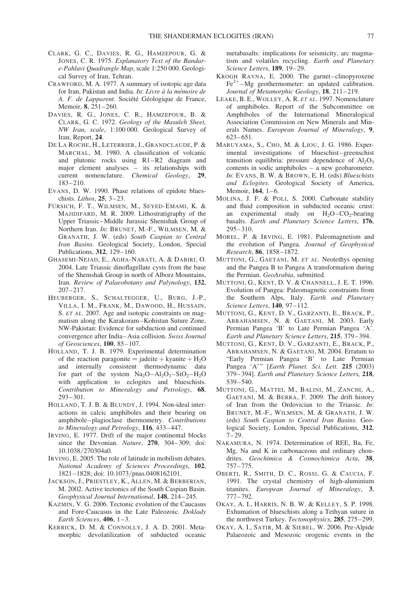- CLARK, G. C., DAVIES, R. G., HAMZEPOUR, G. & JONES, C. R. 1975. Explanatory Text of the Bandare-Pahlavi Quadrangle Map, scale 1:250 000. Geological Survey of Iran, Tehran.
- CRAWFORD, M. A. 1977. A summary of isotopic age data for Iran, Pakistan and India. In: Livre à la mémoire de A. F. de Lapparent. Société Géologique de France, Memoir, 8, 251–260.
- DAVIES, R. G., JONES, C. R., HAMZEPOUR, B. & CLARK, G. C. 1972. Geology of the Masuleh Sheet, NW Iran, scale, 1:100 000. Geological Survey of Iran, Report, 24.
- DE LA ROCHE, H., LETERRIER, J., GRANDCLAUDE, P. & MARCHAL, M. 1980. A classification of volcanic and plutonic rocks using R1–R2 diagram and major element analyses – its relationships with current nomenclature. Chemical Geology, 29, 183–210.
- EVANS, D. W. 1990. Phase relations of epidote blueschists. Lithos, 25, 3–23.
- FÜRSICH, F. T., WILMSEN, M., SEYED-EMAMI, K. & MAJIDIFARD, M. R. 2009. Lithostratigraphy of the Upper Triassic–Middle Jurassic Shemshak Group of Northern Iran. In: BRUNET, M.-F., WILMSEN, M. & GRANATH, J. W. (eds) South Caspian to Central Iran Basins. Geological Society, London, Special Publications, 312, 129–160.
- GHASEMI-NEJAD, E., AGHA-NABATI, A. & DABIRI, O. 2004. Late Triassic dinoflagellate cysts from the base of the Shemshak Group in north of Alborz Mountains, Iran. Review of Palaeobotany and Palynology, 132, 207–217.
- HEUBERGER, S., SCHALTEGGER, U., BURG, J.-P., VILLA, I. M., FRANK, M., DAWOOD, H., HUSSAIN, S. ET AL. 2007. Age and isotopic constraints on magmatism along the Karakoram–Kohistan Suture Zone, NW-Pakistan: Evidence for subduction and continued convergence after India–Asia collision. Swiss Journal of Geosciences, 100, 85–107.
- HOLLAND, T. J. B. 1979. Experimental determination of the reaction paragonite = jadeite + kyanite +  $H_2O$ and internally consistent thermodynamic data for part of the system  $Na<sub>2</sub>O-Al<sub>2</sub>O<sub>3</sub> - SiO<sub>2</sub>-H<sub>2</sub>O$ with application to eclogites and blueschists. Contribution to Mineralogy and Petrology, 68, 293–301.
- HOLLAND, T. J. B. & BLUNDY, J. 1994. Non-ideal interactions in calcic amphiboles and their bearing on amphibole–plagioclase thermometry. Contributions to Mineralogy and Petrology, 116, 433–447.
- IRVING, E. 1977. Drift of the major continental blocks since the Devonian. Nature, 270, 304-309; doi: 10.1038/270304a0.
- IRVING, E. 2005. The role of latitude in mobilism debates. National Academy of Sciences Proceedings, 102, 1821–1828; doi: 10.1073/pnas.0408162101.
- JACKSON, J., PRIESTLEY, K., ALLEN, M. & BERBERIAN, M. 2002. Active tectonics of the South Caspian Basin. Geophysical Journal International, 148, 214–245.
- KAZMIN, V. G. 2006. Tectonic evolution of the Caucasus and Fore-Caucasus in the Late Paleozoic. Doklady Earth Sciences, 406, 1–3.
- KERRICK, D. M. & CONNOLLY, J. A. D. 2001. Metamorphic devolatilization of subducted oceanic

metabasalts: implications for seismicity, arc magmatism and volatiles recycling. Earth and Planetary Science Letters, 189, 19–29.

- KROGH RAVNA, E. 2000. The garnet–clinopyroxene  $Fe<sup>2+</sup> - Mg$  geothermometer: an updated calibration. Journal of Metamorphic Geology, 18, 211–219.
- LEAKE, B. E., WOLLEY, A. R. ET AL. 1997. Nomenclature of amphiboles. Report of the Subcommittee on Amphiboles of the International Mineralogical Association Commission on New Minerals and Minerals Names. European Journal of Mineralogy, 9, 623–651.
- MARUYAMA, S., CHO, M. & LIOU, J. G. 1986. Experimental investigations of blueschist–greenschist transition equilibria: pressure dependence of  $Al_2O_3$ contents in sodic amphiboles – a new geobarometer. In: EVANS, B. W. & BROWN, E. H. (eds) Blueschists and Eclogites. Geological Society of America, Memoir, 164, 1–6.
- MOLINA, J. F. & POLI, S. 2000. Carbonate stability and fluid composition in subducted oceanic crust: an experimental study on  $H_2O$ – $CO_2$ -bearing basalts. Earth and Planetary Science Letters, 176, 295–310.
- MOREL, P. & IRVING, E. 1981. Paleomagnetism and the evolution of Pangea. Journal of Geophysical Research, 86, 1858–1872.
- MUTTONI, G., GAETANI, M. ET AL. Neotethys opening and the Pangea B to Pangea A transformation during the Permian. GeoArabia, submitted.
- MUTTONI, G., KENT, D. V. & CHANNELL, J. E. T. 1996. Evolution of Pangea: Paleomagnetic constraints from the Southern Alps, Italy. Earth and Planetary Science Letters, 140, 97–112.
- MUTTONI, G., KENT, D. V., GARZANTI, E., BRACK, P., ABRAHAMSEN, N. & GAETANI, M. 2003. Early Permian Pangea 'B' to Late Permian Pangea 'A'. Earth and Planetary Science Letters, 215, 379–394.
- MUTTONI, G., KENT, D. V., GARZANTI, E., BRACK, P., ABRAHAMSEN, N. & GAETANI, M. 2004. Erratum to "Early Permian Pangea 'B' to Late Permian Pangea 'A'" [Earth Planet. Sci. Lett. 215 (2003) 379–394]. Earth and Planetary Science Letters, 218, 539–540.
- MUTTONI, G., MATTEI, M., BALINI, M., ZANCHI, A., GAETANI, M. & BERRA, F. 2009. The drift history of Iran from the Ordovician to the Triassic. In: BRUNET, M.-F., WILMSEN, M. & GRANATH, J. W. (eds) South Caspian to Central Iran Basins. Geological Society, London, Special Publications, 312,  $7 - 29$ .
- NAKAMURA, N. 1974. Determination of REE, Ba, Fe, Mg, Na and K in carbonaceous and ordinary chondrites. Geochimica & Cosmochimica Acta, 38, 757–775.
- OBERTI, R., SMITH, D. C., ROSSI, G. & CAUCIA, F. 1991. The crystal chemistry of high-aluminium titanites. European Journal of Mineralogy, 3, 777–792.
- OKAY, A. I., HARRIS, N. B. W. & KELLEY, S. P. 1998. Exhumation of blueschists along a Tethyan suture in the northwest Turkey. Tectonophysics, 285, 275–299.
- OKAY, A. I., SATIR, M. & SIEBEL, W. 2006. Pre-Alpide Palaeozoic and Mesozoic orogenic events in the